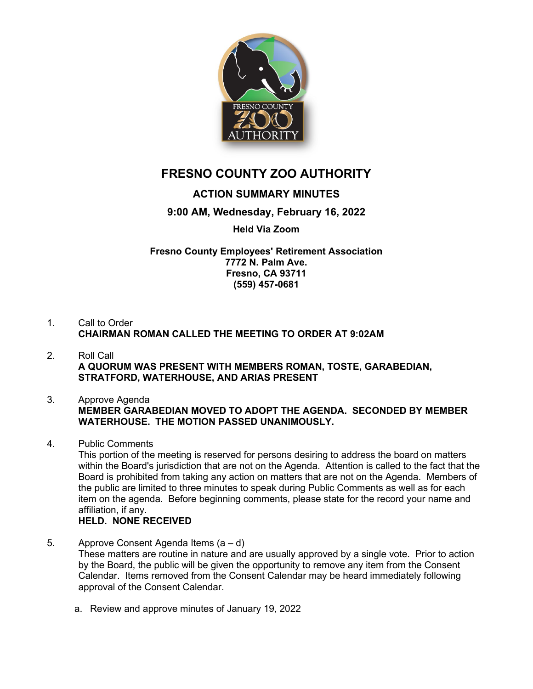

# **FRESNO COUNTY ZOO AUTHORITY**

## **ACTION SUMMARY MINUTES**

### **9:00 AM, Wednesday, February 16, 2022**

#### **Held Via Zoom**

**Fresno County Employees' Retirement Association 7772 N. Palm Ave. Fresno, CA 93711 (559) 457-0681**

#### 1. Call to Order **CHAIRMAN ROMAN CALLED THE MEETING TO ORDER AT 9:02AM**

- 2. Roll Call **A QUORUM WAS PRESENT WITH MEMBERS ROMAN, TOSTE, GARABEDIAN, STRATFORD, WATERHOUSE, AND ARIAS PRESENT**
- 3. Approve Agenda **MEMBER GARABEDIAN MOVED TO ADOPT THE AGENDA. SECONDED BY MEMBER WATERHOUSE. THE MOTION PASSED UNANIMOUSLY.**
- 4. Public Comments

This portion of the meeting is reserved for persons desiring to address the board on matters within the Board's jurisdiction that are not on the Agenda. Attention is called to the fact that the Board is prohibited from taking any action on matters that are not on the Agenda. Members of the public are limited to three minutes to speak during Public Comments as well as for each item on the agenda. Before beginning comments, please state for the record your name and affiliation, if any.

#### **HELD. NONE RECEIVED**

- 5. Approve Consent Agenda Items (a d) These matters are routine in nature and are usually approved by a single vote. Prior to action by the Board, the public will be given the opportunity to remove any item from the Consent Calendar. Items removed from the Consent Calendar may be heard immediately following approval of the Consent Calendar.
	- a. Review and approve minutes of January 19, 2022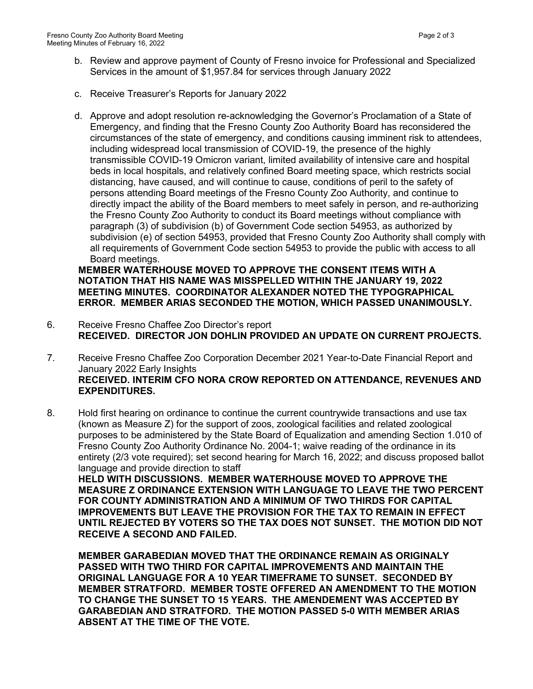- c. Receive Treasurer's Reports for January 2022
- d. Approve and adopt resolution re-acknowledging the Governor's Proclamation of a State of Emergency, and finding that the Fresno County Zoo Authority Board has reconsidered the circumstances of the state of emergency, and conditions causing imminent risk to attendees, including widespread local transmission of COVID-19, the presence of the highly transmissible COVID-19 Omicron variant, limited availability of intensive care and hospital beds in local hospitals, and relatively confined Board meeting space, which restricts social distancing, have caused, and will continue to cause, conditions of peril to the safety of persons attending Board meetings of the Fresno County Zoo Authority, and continue to directly impact the ability of the Board members to meet safely in person, and re-authorizing the Fresno County Zoo Authority to conduct its Board meetings without compliance with paragraph (3) of subdivision (b) of Government Code section 54953, as authorized by subdivision (e) of section 54953, provided that Fresno County Zoo Authority shall comply with all requirements of Government Code section 54953 to provide the public with access to all Board meetings.

**MEMBER WATERHOUSE MOVED TO APPROVE THE CONSENT ITEMS WITH A NOTATION THAT HIS NAME WAS MISSPELLED WITHIN THE JANUARY 19, 2022 MEETING MINUTES. COORDINATOR ALEXANDER NOTED THE TYPOGRAPHICAL ERROR. MEMBER ARIAS SECONDED THE MOTION, WHICH PASSED UNANIMOUSLY.**

- 6. Receive Fresno Chaffee Zoo Director's report **RECEIVED. DIRECTOR JON DOHLIN PROVIDED AN UPDATE ON CURRENT PROJECTS.**
- 7. Receive Fresno Chaffee Zoo Corporation December 2021 Year-to-Date Financial Report and January 2022 Early Insights **RECEIVED. INTERIM CFO NORA CROW REPORTED ON ATTENDANCE, REVENUES AND EXPENDITURES.**
- 8. Hold first hearing on ordinance to continue the current countrywide transactions and use tax (known as Measure Z) for the support of zoos, zoological facilities and related zoological purposes to be administered by the State Board of Equalization and amending Section 1.010 of Fresno County Zoo Authority Ordinance No. 2004-1; waive reading of the ordinance in its entirety (2/3 vote required); set second hearing for March 16, 2022; and discuss proposed ballot language and provide direction to staff

**HELD WITH DISCUSSIONS. MEMBER WATERHOUSE MOVED TO APPROVE THE MEASURE Z ORDINANCE EXTENSION WITH LANGUAGE TO LEAVE THE TWO PERCENT FOR COUNTY ADMINISTRATION AND A MINIMUM OF TWO THIRDS FOR CAPITAL IMPROVEMENTS BUT LEAVE THE PROVISION FOR THE TAX TO REMAIN IN EFFECT UNTIL REJECTED BY VOTERS SO THE TAX DOES NOT SUNSET. THE MOTION DID NOT RECEIVE A SECOND AND FAILED.**

**MEMBER GARABEDIAN MOVED THAT THE ORDINANCE REMAIN AS ORIGINALY PASSED WITH TWO THIRD FOR CAPITAL IMPROVEMENTS AND MAINTAIN THE ORIGINAL LANGUAGE FOR A 10 YEAR TIMEFRAME TO SUNSET. SECONDED BY MEMBER STRATFORD. MEMBER TOSTE OFFERED AN AMENDMENT TO THE MOTION TO CHANGE THE SUNSET TO 15 YEARS. THE AMENDEMENT WAS ACCEPTED BY GARABEDIAN AND STRATFORD. THE MOTION PASSED 5-0 WITH MEMBER ARIAS ABSENT AT THE TIME OF THE VOTE.**